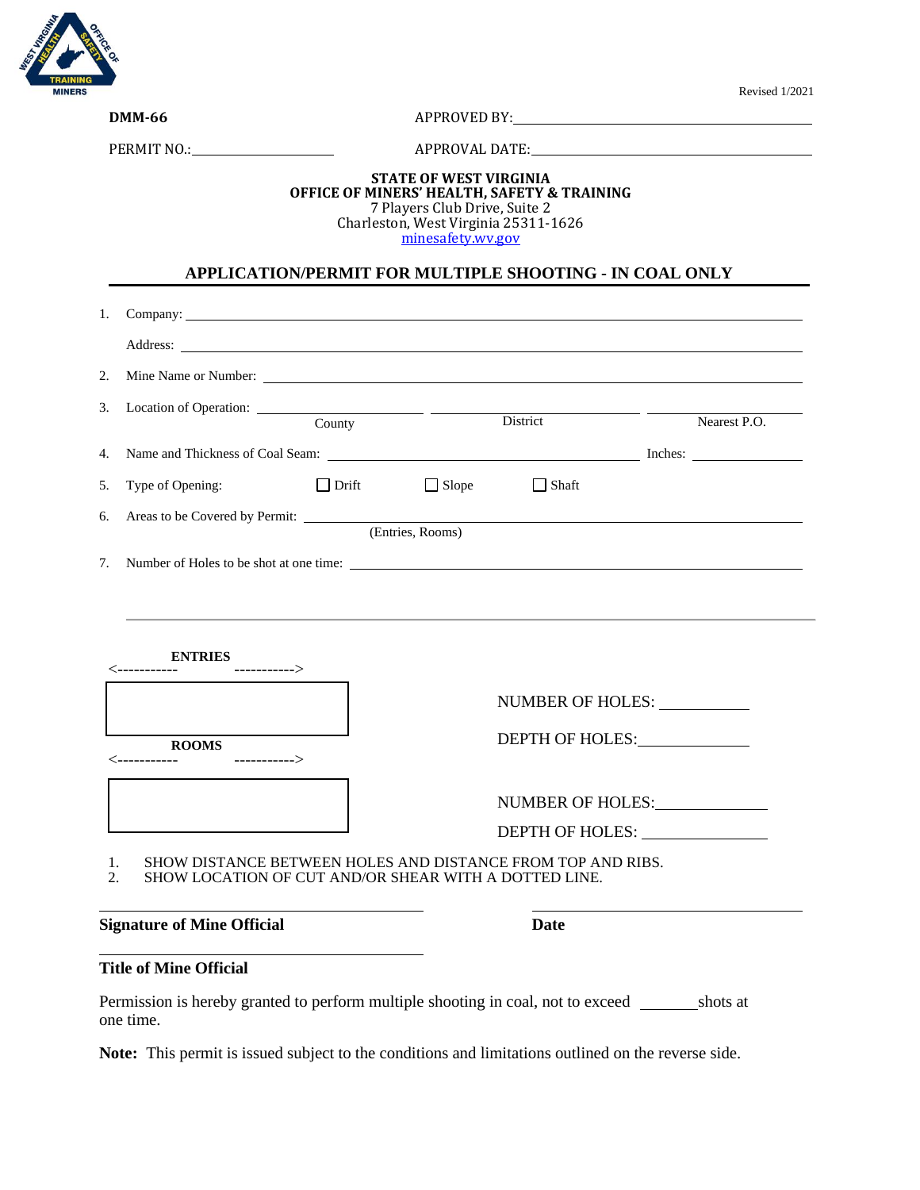

**DMM-66** APPROVED BY: <u>Approved By:</u>

PERMIT NO.: APPROVAL DATE:

#### **STATE OF WEST VIRGINIA OFFICE OF MINERS' HEALTH, SAFETY & TRAINING** 7 Players Club Drive, Suite 2 Charleston, West Virginia 25311-1626 [minesafety.wv.gov](https://minesafety.wv.gov/)

## **APPLICATION/PERMIT FOR MULTIPLE SHOOTING - IN COAL ONLY**

| 1.                                                    |                                                                                                                      |              |                 |                  |  |
|-------------------------------------------------------|----------------------------------------------------------------------------------------------------------------------|--------------|-----------------|------------------|--|
|                                                       |                                                                                                                      |              |                 |                  |  |
| 2.<br>Mine Name or Number:                            |                                                                                                                      |              |                 |                  |  |
| 3.                                                    | County                                                                                                               |              | District        | Nearest P.O.     |  |
| 4.                                                    |                                                                                                                      |              |                 |                  |  |
| Type of Opening:<br>5.                                | $\Box$ Drift                                                                                                         | $\Box$ Slope | $\Box$ Shaft    |                  |  |
| Areas to be Covered by Permit: (Entries, Rooms)<br>6. |                                                                                                                      |              |                 |                  |  |
| 7. Number of Holes to be shot at one time:            |                                                                                                                      |              |                 |                  |  |
|                                                       |                                                                                                                      |              |                 |                  |  |
| <b>ENTRIES</b>                                        |                                                                                                                      |              |                 |                  |  |
|                                                       |                                                                                                                      |              |                 | NUMBER OF HOLES: |  |
| <b>ROOMS</b>                                          |                                                                                                                      |              | DEPTH OF HOLES: |                  |  |
|                                                       |                                                                                                                      |              |                 | NUMBER OF HOLES: |  |
|                                                       |                                                                                                                      |              |                 | DEPTH OF HOLES:  |  |
| 1.<br>2.                                              | SHOW DISTANCE BETWEEN HOLES AND DISTANCE FROM TOP AND RIBS.<br>SHOW LOCATION OF CUT AND/OR SHEAR WITH A DOTTED LINE. |              |                 |                  |  |
| <b>Signature of Mine Official</b>                     |                                                                                                                      |              | <b>Date</b>     |                  |  |

### **Title of Mine Official**

Permission is hereby granted to perform multiple shooting in coal, not to exceed shots at one time.

Note: This permit is issued subject to the conditions and limitations outlined on the reverse side.